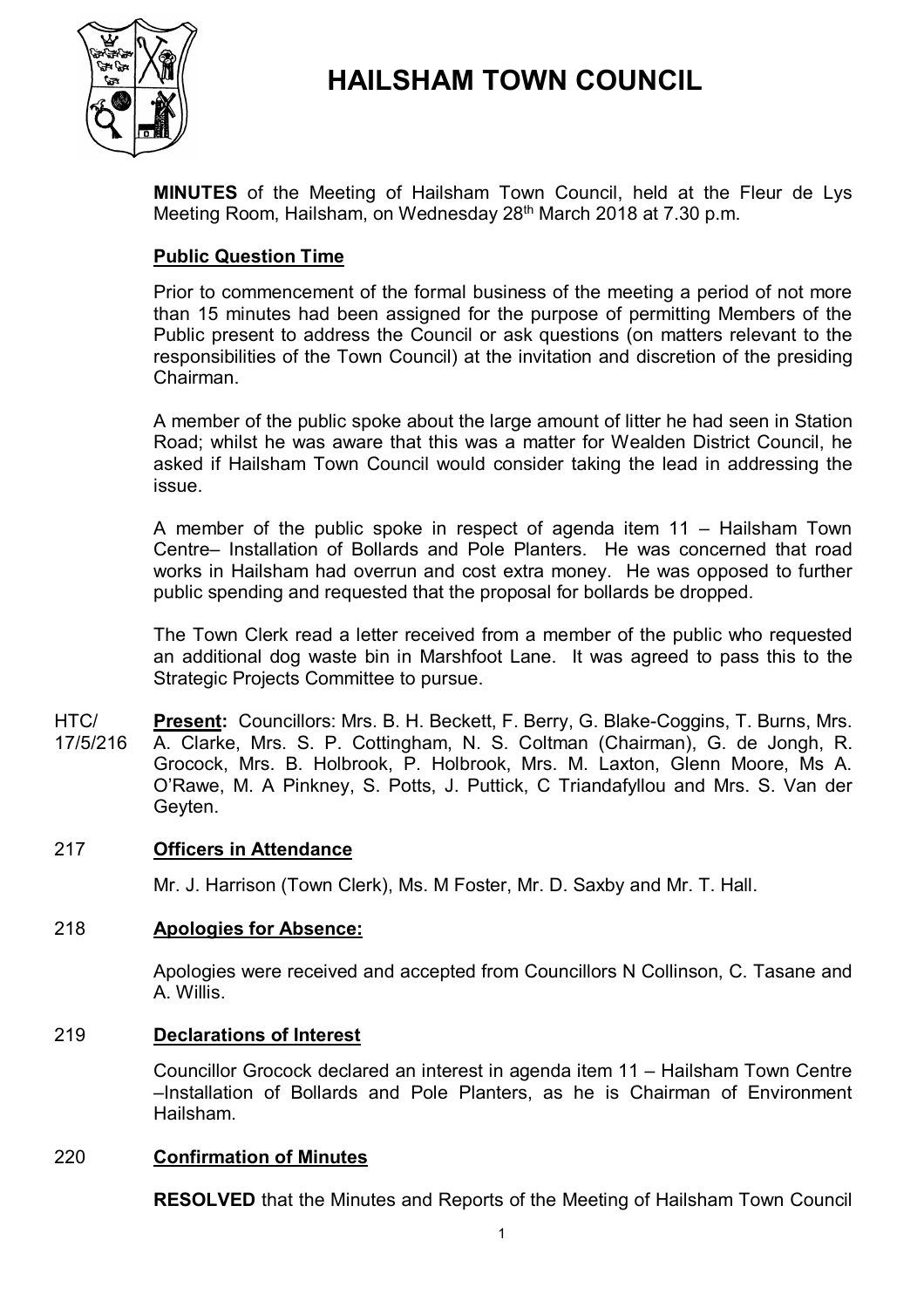

# **HAILSHAM TOWN COUNCIL**

**MINUTES** of the Meeting of Hailsham Town Council, held at the Fleur de Lys Meeting Room, Hailsham, on Wednesday 28<sup>th</sup> March 2018 at 7.30 p.m.

# **Public Question Time**

Prior to commencement of the formal business of the meeting a period of not more than 15 minutes had been assigned for the purpose of permitting Members of the Public present to address the Council or ask questions (on matters relevant to the responsibilities of the Town Council) at the invitation and discretion of the presiding Chairman.

A member of the public spoke about the large amount of litter he had seen in Station Road; whilst he was aware that this was a matter for Wealden District Council, he asked if Hailsham Town Council would consider taking the lead in addressing the issue.

A member of the public spoke in respect of agenda item 11 – Hailsham Town Centre– Installation of Bollards and Pole Planters. He was concerned that road works in Hailsham had overrun and cost extra money. He was opposed to further public spending and requested that the proposal for bollards be dropped.

The Town Clerk read a letter received from a member of the public who requested an additional dog waste bin in Marshfoot Lane. It was agreed to pass this to the Strategic Projects Committee to pursue.

HTC/ 17/5/216 **Present:** Councillors: Mrs. B. H. Beckett, F. Berry, G. Blake-Coggins, T. Burns, Mrs. A. Clarke, Mrs. S. P. Cottingham, N. S. Coltman (Chairman), G. de Jongh, R. Grocock, Mrs. B. Holbrook, P. Holbrook, Mrs. M. Laxton, Glenn Moore, Ms A. O'Rawe, M. A Pinkney, S. Potts, J. Puttick, C Triandafyllou and Mrs. S. Van der Geyten.

# 217 **Officers in Attendance**

Mr. J. Harrison (Town Clerk), Ms. M Foster, Mr. D. Saxby and Mr. T. Hall.

#### 218 **Apologies for Absence:**

Apologies were received and accepted from Councillors N Collinson, C. Tasane and A. Willis.

#### 219 **Declarations of Interest**

Councillor Grocock declared an interest in agenda item 11 – Hailsham Town Centre –Installation of Bollards and Pole Planters, as he is Chairman of Environment Hailsham.

#### 220 **Confirmation of Minutes**

**RESOLVED** that the Minutes and Reports of the Meeting of Hailsham Town Council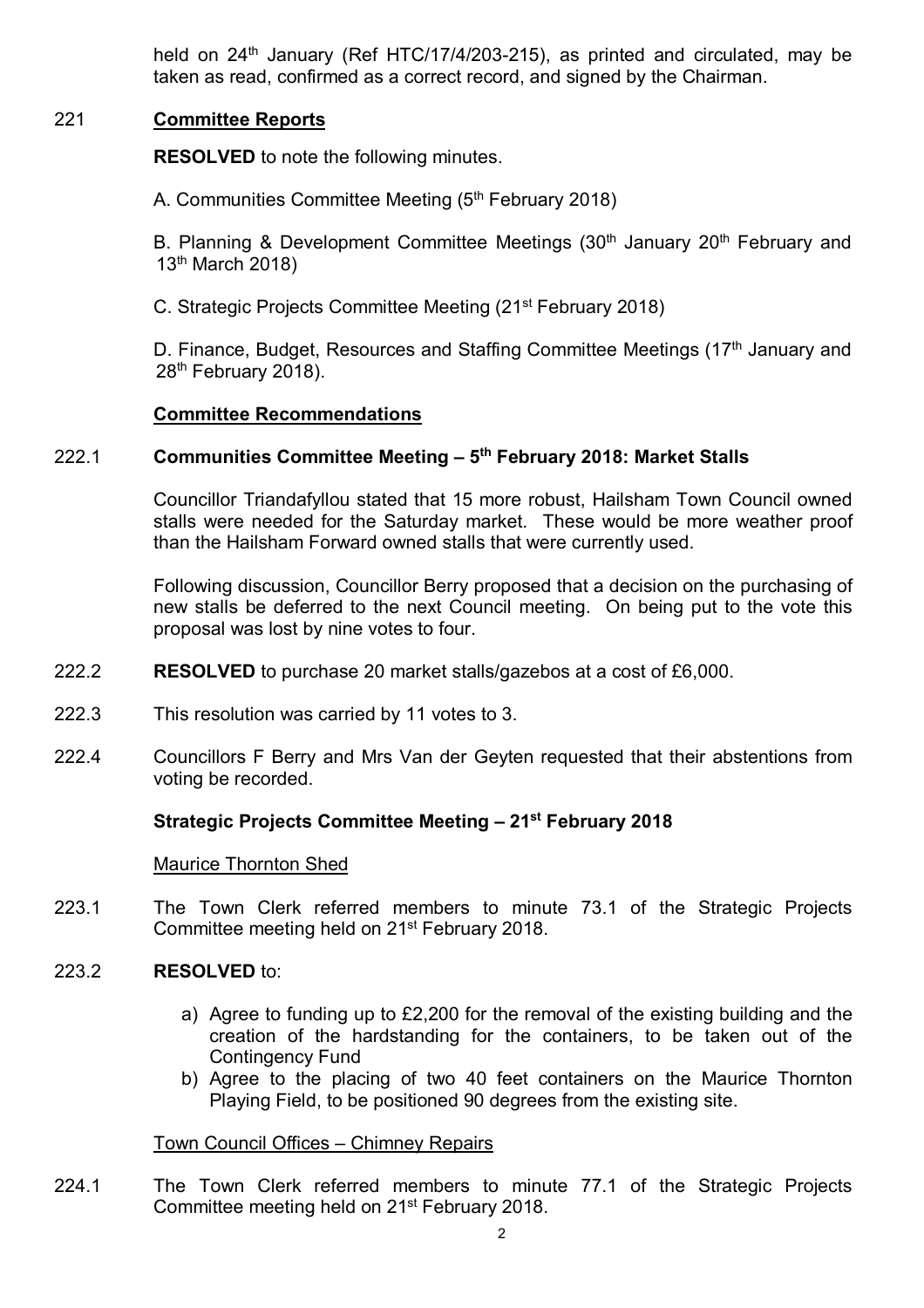held on 24<sup>th</sup> January (Ref HTC/17/4/203-215), as printed and circulated, may be taken as read, confirmed as a correct record, and signed by the Chairman.

# 221 **Committee Reports**

**RESOLVED** to note the following minutes.

A. Communities Committee Meeting (5<sup>th</sup> February 2018)

B. Planning & Development Committee Meetings (30<sup>th</sup> January 20<sup>th</sup> February and 13<sup>th</sup> March 2018)

C. Strategic Projects Committee Meeting (21st February 2018)

D. Finance, Budget, Resources and Staffing Committee Meetings  $(17<sup>th</sup>$  January and 28<sup>th</sup> February 2018).

# **Committee Recommendations**

#### 222.1 **Communities Committee Meeting – 5 th February 2018: Market Stalls**

Councillor Triandafyllou stated that 15 more robust, Hailsham Town Council owned stalls were needed for the Saturday market. These would be more weather proof than the Hailsham Forward owned stalls that were currently used.

Following discussion, Councillor Berry proposed that a decision on the purchasing of new stalls be deferred to the next Council meeting. On being put to the vote this proposal was lost by nine votes to four.

- 222.2 **RESOLVED** to purchase 20 market stalls/gazebos at a cost of £6,000.
- 222.3 This resolution was carried by 11 votes to 3.
- 222.4 Councillors F Berry and Mrs Van der Geyten requested that their abstentions from voting be recorded.

# **Strategic Projects Committee Meeting – 21st February 2018**

# Maurice Thornton Shed

- 223.1 The Town Clerk referred members to minute 73.1 of the Strategic Projects Committee meeting held on 21st February 2018.
- 223.2 **RESOLVED** to:
	- a) Agree to funding up to £2,200 for the removal of the existing building and the creation of the hardstanding for the containers, to be taken out of the Contingency Fund
	- b) Agree to the placing of two 40 feet containers on the Maurice Thornton Playing Field, to be positioned 90 degrees from the existing site.

# Town Council Offices – Chimney Repairs

224.1 The Town Clerk referred members to minute 77.1 of the Strategic Projects Committee meeting held on 21st February 2018.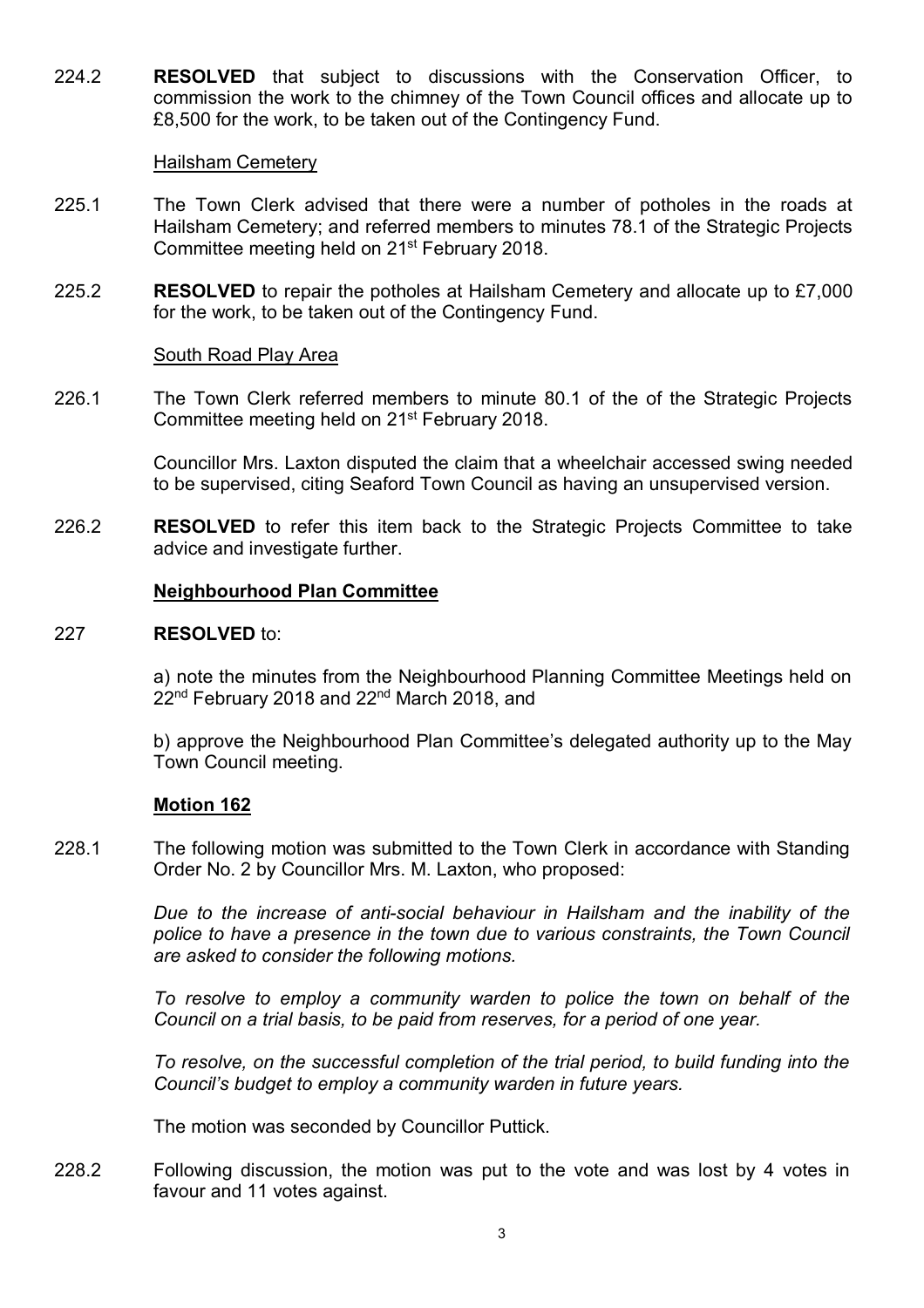224.2 **RESOLVED** that subject to discussions with the Conservation Officer, to commission the work to the chimney of the Town Council offices and allocate up to £8,500 for the work, to be taken out of the Contingency Fund.

#### Hailsham Cemetery

- 225.1 The Town Clerk advised that there were a number of potholes in the roads at Hailsham Cemetery; and referred members to minutes 78.1 of the Strategic Projects Committee meeting held on 21st February 2018.
- 225.2 **RESOLVED** to repair the potholes at Hailsham Cemetery and allocate up to £7,000 for the work, to be taken out of the Contingency Fund.

#### South Road Play Area

226.1 The Town Clerk referred members to minute 80.1 of the of the Strategic Projects Committee meeting held on 21st February 2018.

> Councillor Mrs. Laxton disputed the claim that a wheelchair accessed swing needed to be supervised, citing Seaford Town Council as having an unsupervised version.

226.2 **RESOLVED** to refer this item back to the Strategic Projects Committee to take advice and investigate further.

### **Neighbourhood Plan Committee**

#### 227 **RESOLVED** to:

a) note the minutes from the Neighbourhood Planning Committee Meetings held on 22<sup>nd</sup> February 2018 and 22<sup>nd</sup> March 2018, and

b) approve the Neighbourhood Plan Committee's delegated authority up to the May Town Council meeting.

# **Motion 162**

228.1 The following motion was submitted to the Town Clerk in accordance with Standing Order No. 2 by Councillor Mrs. M. Laxton, who proposed:

> *Due to the increase of anti-social behaviour in Hailsham and the inability of the police to have a presence in the town due to various constraints, the Town Council are asked to consider the following motions.*

> *To resolve to employ a community warden to police the town on behalf of the Council on a trial basis, to be paid from reserves, for a period of one year.*

> *To resolve, on the successful completion of the trial period, to build funding into the Council's budget to employ a community warden in future years.*

The motion was seconded by Councillor Puttick.

228.2 Following discussion, the motion was put to the vote and was lost by 4 votes in favour and 11 votes against.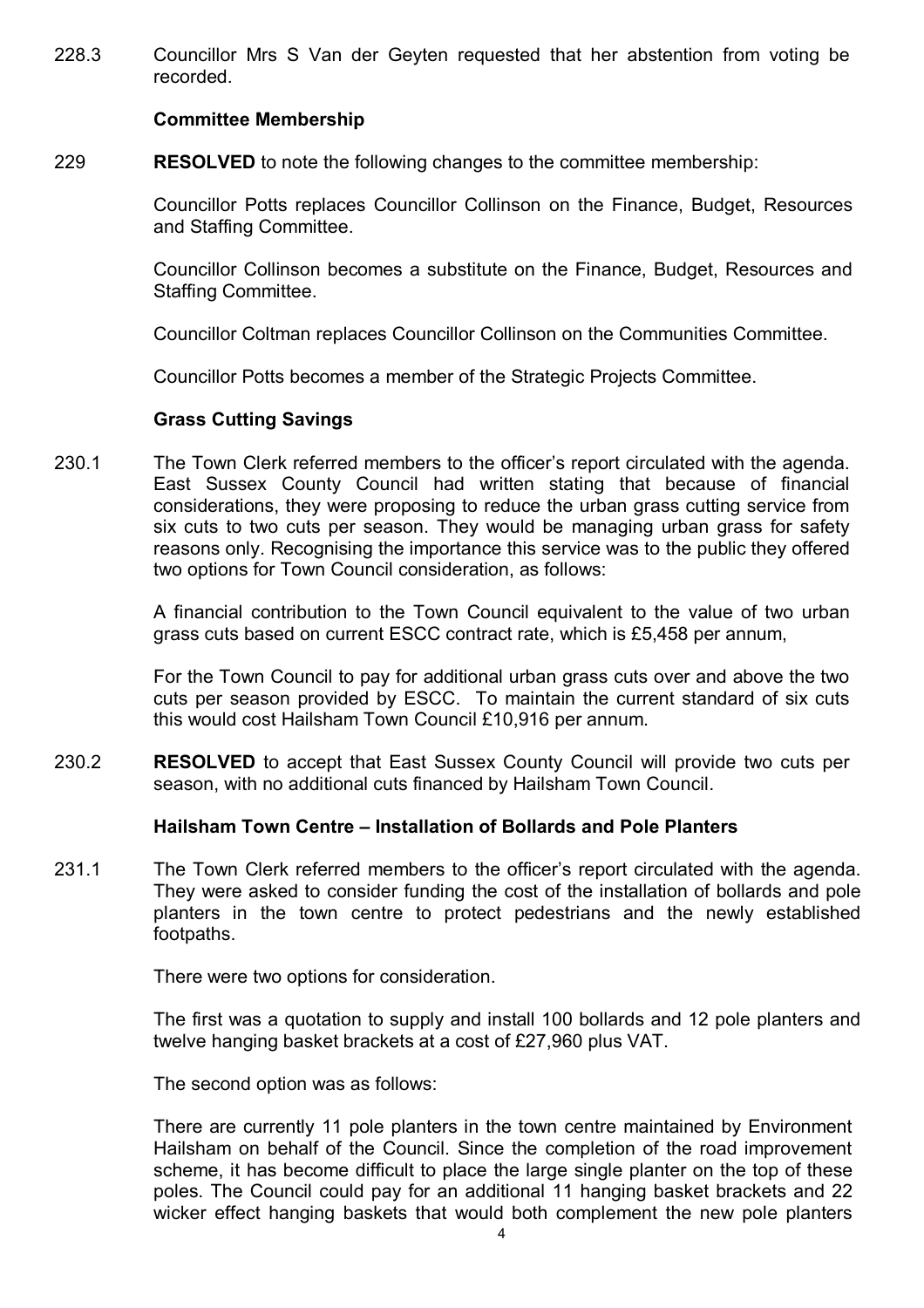228.3 Councillor Mrs S Van der Geyten requested that her abstention from voting be recorded.

### **Committee Membership**

229 **RESOLVED** to note the following changes to the committee membership:

> Councillor Potts replaces Councillor Collinson on the Finance, Budget, Resources and Staffing Committee.

> Councillor Collinson becomes a substitute on the Finance, Budget, Resources and Staffing Committee.

Councillor Coltman replaces Councillor Collinson on the Communities Committee.

Councillor Potts becomes a member of the Strategic Projects Committee.

### **Grass Cutting Savings**

230.1 The Town Clerk referred members to the officer's report circulated with the agenda. East Sussex County Council had written stating that because of financial considerations, they were proposing to reduce the urban grass cutting service from six cuts to two cuts per season. They would be managing urban grass for safety reasons only. Recognising the importance this service was to the public they offered two options for Town Council consideration, as follows:

> A financial contribution to the Town Council equivalent to the value of two urban grass cuts based on current ESCC contract rate, which is £5,458 per annum,

> For the Town Council to pay for additional urban grass cuts over and above the two cuts per season provided by ESCC. To maintain the current standard of six cuts this would cost Hailsham Town Council £10,916 per annum.

230.2 **RESOLVED** to accept that East Sussex County Council will provide two cuts per season, with no additional cuts financed by Hailsham Town Council.

# **Hailsham Town Centre – Installation of Bollards and Pole Planters**

231.1 The Town Clerk referred members to the officer's report circulated with the agenda. They were asked to consider funding the cost of the installation of bollards and pole planters in the town centre to protect pedestrians and the newly established footpaths.

There were two options for consideration.

The first was a quotation to supply and install 100 bollards and 12 pole planters and twelve hanging basket brackets at a cost of £27,960 plus VAT.

The second option was as follows:

There are currently 11 pole planters in the town centre maintained by Environment Hailsham on behalf of the Council. Since the completion of the road improvement scheme, it has become difficult to place the large single planter on the top of these poles. The Council could pay for an additional 11 hanging basket brackets and 22 wicker effect hanging baskets that would both complement the new pole planters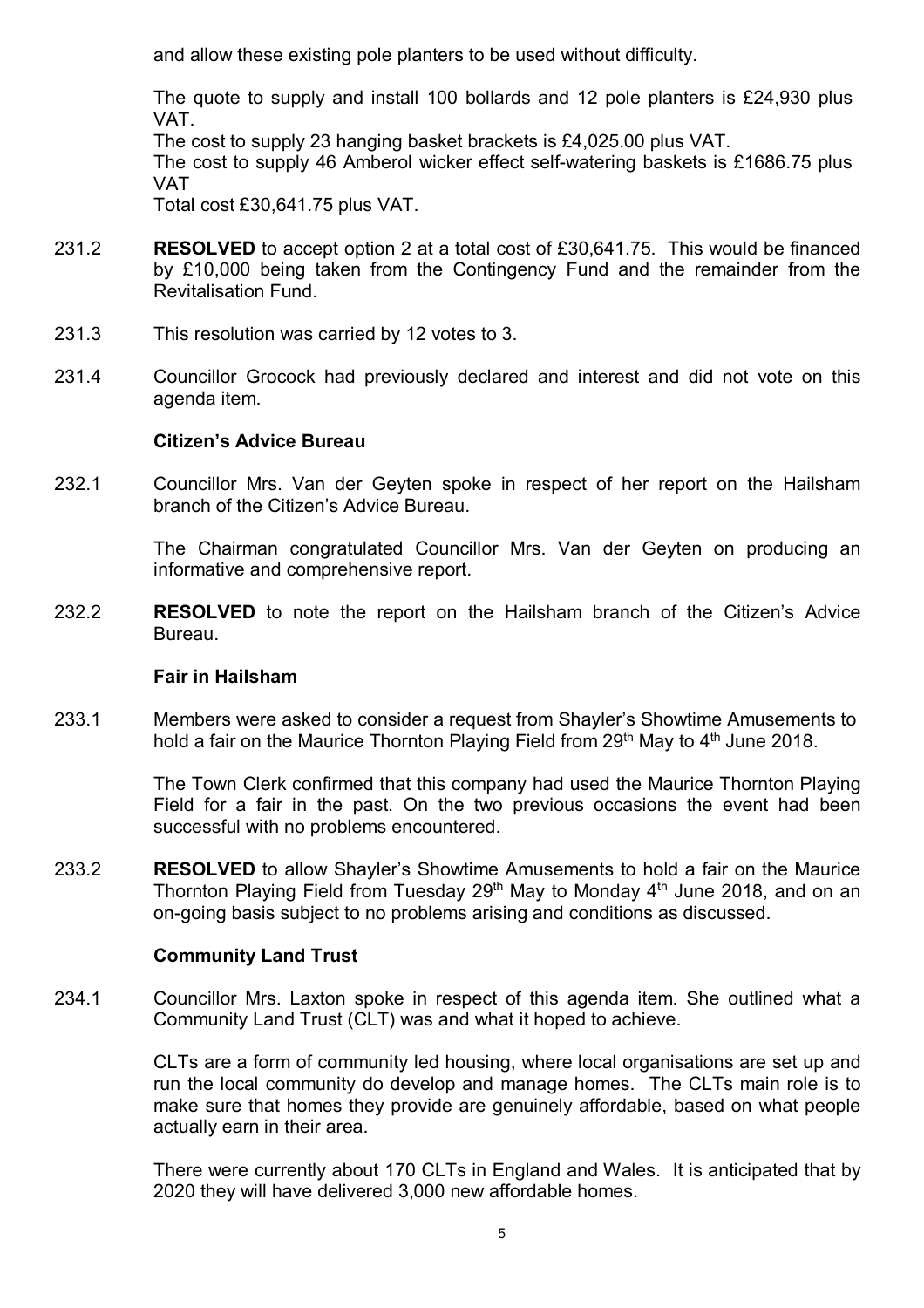and allow these existing pole planters to be used without difficulty.

The quote to supply and install 100 bollards and 12 pole planters is £24,930 plus VAT.

The cost to supply 23 hanging basket brackets is £4,025.00 plus VAT.

The cost to supply 46 Amberol wicker effect self-watering baskets is £1686.75 plus VAT

Total cost £30,641.75 plus VAT.

- 231.2 **RESOLVED** to accept option 2 at a total cost of £30,641.75. This would be financed by £10,000 being taken from the Contingency Fund and the remainder from the Revitalisation Fund.
- 231.3 This resolution was carried by 12 votes to 3.
- 231.4 Councillor Grocock had previously declared and interest and did not vote on this agenda item.

# **Citizen's Advice Bureau**

232.1 Councillor Mrs. Van der Geyten spoke in respect of her report on the Hailsham branch of the Citizen's Advice Bureau.

> The Chairman congratulated Councillor Mrs. Van der Geyten on producing an informative and comprehensive report.

232.2 **RESOLVED** to note the report on the Hailsham branch of the Citizen's Advice Bureau.

# **Fair in Hailsham**

233.1 Members were asked to consider a request from Shayler's Showtime Amusements to hold a fair on the Maurice Thornton Playing Field from 29<sup>th</sup> May to 4<sup>th</sup> June 2018.

> The Town Clerk confirmed that this company had used the Maurice Thornton Playing Field for a fair in the past. On the two previous occasions the event had been successful with no problems encountered.

233.2 **RESOLVED** to allow Shayler's Showtime Amusements to hold a fair on the Maurice Thornton Playing Field from Tuesday  $29<sup>th</sup>$  May to Monday  $4<sup>th</sup>$  June 2018, and on an on-going basis subject to no problems arising and conditions as discussed.

# **Community Land Trust**

234.1 Councillor Mrs. Laxton spoke in respect of this agenda item. She outlined what a Community Land Trust (CLT) was and what it hoped to achieve.

> CLTs are a form of community led housing, where local organisations are set up and run the local community do develop and manage homes. The CLTs main role is to make sure that homes they provide are genuinely affordable, based on what people actually earn in their area.

> There were currently about 170 CLTs in England and Wales. It is anticipated that by 2020 they will have delivered 3,000 new affordable homes.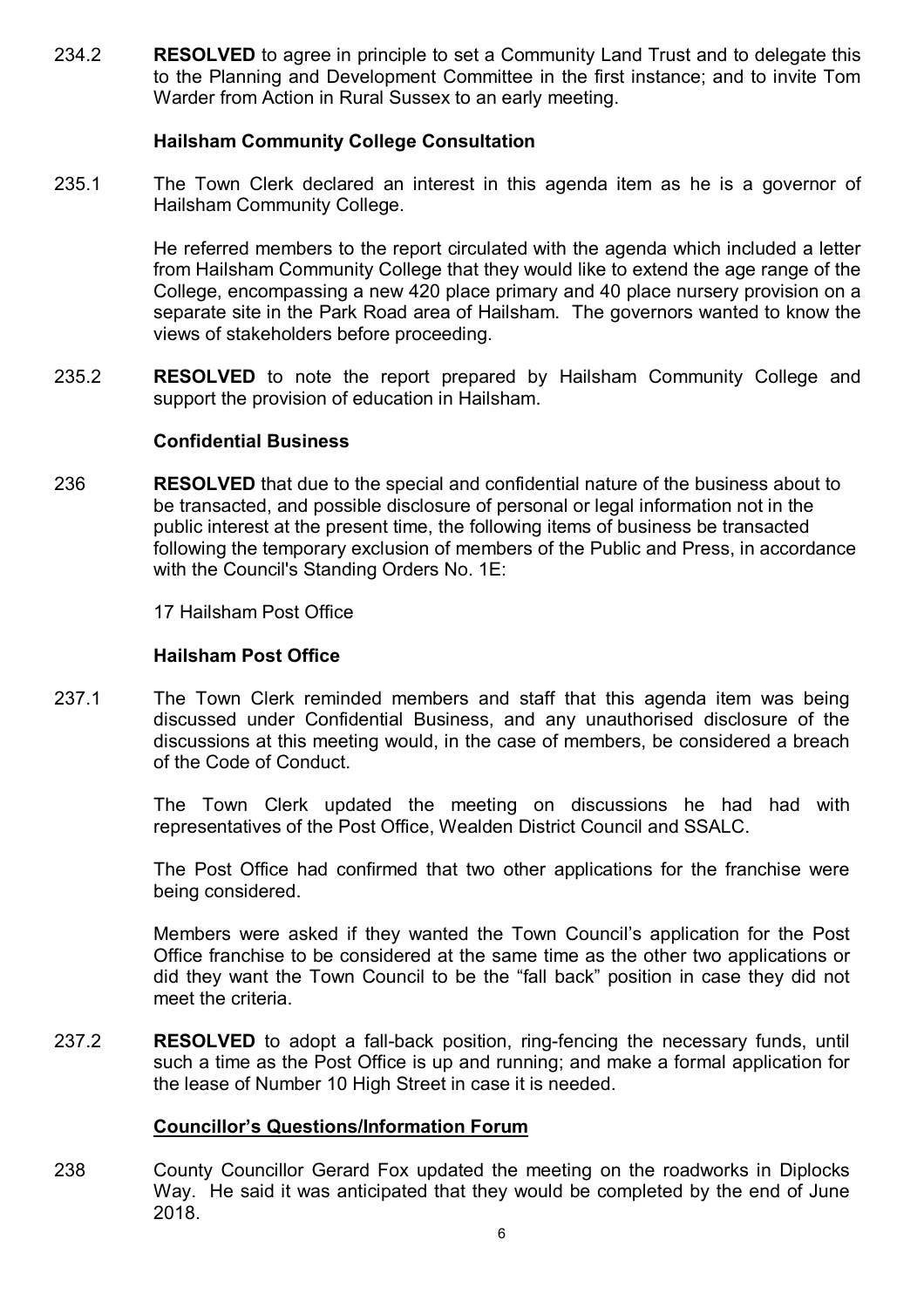234.2 **RESOLVED** to agree in principle to set a Community Land Trust and to delegate this to the Planning and Development Committee in the first instance; and to invite Tom Warder from Action in Rural Sussex to an early meeting.

# **Hailsham Community College Consultation**

235.1 The Town Clerk declared an interest in this agenda item as he is a governor of Hailsham Community College.

> He referred members to the report circulated with the agenda which included a letter from Hailsham Community College that they would like to extend the age range of the College, encompassing a new 420 place primary and 40 place nursery provision on a separate site in the Park Road area of Hailsham. The governors wanted to know the views of stakeholders before proceeding.

235.2 **RESOLVED** to note the report prepared by Hailsham Community College and support the provision of education in Hailsham.

### **Confidential Business**

236 **RESOLVED** that due to the special and confidential nature of the business about to be transacted, and possible disclosure of personal or legal information not in the public interest at the present time, the following items of business be transacted following the temporary exclusion of members of the Public and Press, in accordance with the Council's Standing Orders No. 1E:

17 Hailsham Post Office

# **Hailsham Post Office**

237.1 The Town Clerk reminded members and staff that this agenda item was being discussed under Confidential Business, and any unauthorised disclosure of the discussions at this meeting would, in the case of members, be considered a breach of the Code of Conduct.

> The Town Clerk updated the meeting on discussions he had had with representatives of the Post Office, Wealden District Council and SSALC.

> The Post Office had confirmed that two other applications for the franchise were being considered.

> Members were asked if they wanted the Town Council's application for the Post Office franchise to be considered at the same time as the other two applications or did they want the Town Council to be the "fall back" position in case they did not meet the criteria.

237.2 **RESOLVED** to adopt a fall-back position, ring-fencing the necessary funds, until such a time as the Post Office is up and running; and make a formal application for the lease of Number 10 High Street in case it is needed.

# **Councillor's Questions/Information Forum**

238 County Councillor Gerard Fox updated the meeting on the roadworks in Diplocks Way. He said it was anticipated that they would be completed by the end of June 2018.